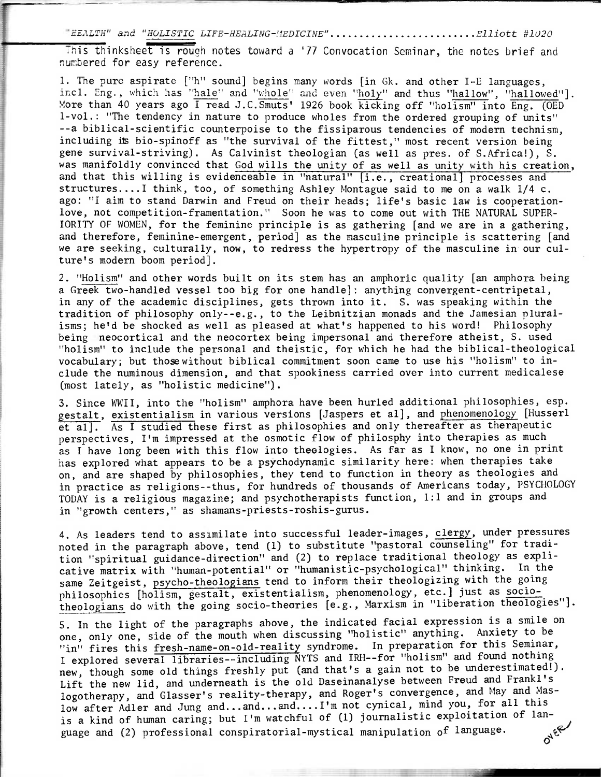"HEALTH" and "HOLISTIC LIFE-HEALING-MEDICINE"............................Elliott #1020

numbered for easy reference. This thinksheet is rough notes toward a '77 Convocation Seminar, the notes brief and

1. The pure aspirate ["h" sound] begins many words [in Gk. and other I-E languages, incl. Eng., which has "hale" and "whole" and even "holy" and thus "hallow", "hallowed"]. More than 40 years ago I read J.C.Smuts' 1926 book kicking off "holism" into Eng. (OED 1-vol.: "The tendency in nature to produce wholes from the ordered grouping of units" --a biblical-scientific counterpoise to the fissiparous tendencies of modern technism, including its bio-spinoff as "the survival of the fittest," most recent version being gene survival-striving). As Calvinist theologian (as well as pres. of S.Africa!), S. was manifoldly convinced that God wills the unity of as well as unity with his creation, and that this willing is evidenceable in "natural" [i.e., creational] processes and structures....I think, too, of something Ashley Montague said to me on a walk 1/4 c. ago: "I aim to stand Darwin and Freud on their heads; life's basic law is cooperationlove, not competition-framentation." Soon he was to come out with THE NATURAL SUPER-IORITY OF WOMEN, for the feminine principle is as gathering [and we are in a gathering, and therefore, feminine-emergent, period] as the masculine principle is scattering [and we are seeking, culturally, now, to redress the hypertropy of the masculine in our culture's modern boom period].

2. "Holism"and other words built on its stem has an amphoric quality [an amphora being a Greek two-handled vessel too big for one handle]: anything convergent-centripetal, in any of the academic disciplines, gets thrown into it. S. was speaking within the tradition of philosophy only--e.g., to the Leibnitzian monads and the Jamesian pluralisms; he'd be shocked as well as pleased at what's happened to his word! Philosophy being neocortical and the neocortex being impersonal and therefore atheist, S. used "holism" to include the personal and theistic, for which he had the biblical-theological vocabulary; but thosewithout biblical commitment soon came to use his "holism" to include the numinous dimension, and that spookiness carried over into current medicalese (most lately, as "holistic medicine").

3. Since WWII, into the "holism" amphora have been hurled additional philosophies, esp. gestalt, existentialism in various versions [Jaspers et al], and phenomenology[Husserl et al]. As I studied these first as philosophies and only thereafter as therapeutic perspectives, I'm impressed at the osmotic flow of philosphy into therapies as much as I have long been with this flow into theologies. As far as I know, no one in print has explored what appears to be a psychodynamic similarity here: when therapies take on, and are shaped by philosophies, they tend to function in theory as theologies and in practice as religions--thus, for hundreds of thousands of Americans today, PSYCHOLOGY TODAY is a religious magazine; and psychotherapists function, 1:1 and in groups and in "growth centers," as shamans-priests-roshis-gurus.

4. As leaders tend to assimilate into successful leader-images, clergy, under pressures noted in the paragraph above, tend (1) to substitute "pastoral counseling" for tradition "spiritual guidance-direction" and (2) to replace traditional theology as explicative matrix with "human-potential" or "humanistic-psychological" thinking. In the same Zeitgeist, psycho-theologians tend to inform their theologizing with the going philosophies [holism, gestalt, existentialism, phenomenology, etc.] just as sociotheologians do with the going socio-theories [e.g., Marxism in "liberation theologies"].

S. In the light of the paragraphs above, the indicated facial expression is a smile on one, only one, side of the mouth when discussing "holistic" anything. Anxiety to be "in" fires this fresh-name-on-old-reality syndrome. In preparation for this Seminar, I explored several libraries--including NYTS and IRH--for "holism" and found nothing new, though some old things freshly put (and that's a gain not to be underestimated!). Lift the new lid, and underneath is the old Daseinanalyse between Freud and Frankl's logotherapy, and Glasser's reality-therapy, and Roger's convergence, and May and Maslow after Adler and Jung and...and...and....I'm not cynical, mind you, for all this is a kind of human caring; but I'm watchful of (1) journalistic exploitation of language and (2) professional conspiratorial-mystical manipulation of language. **ONER**